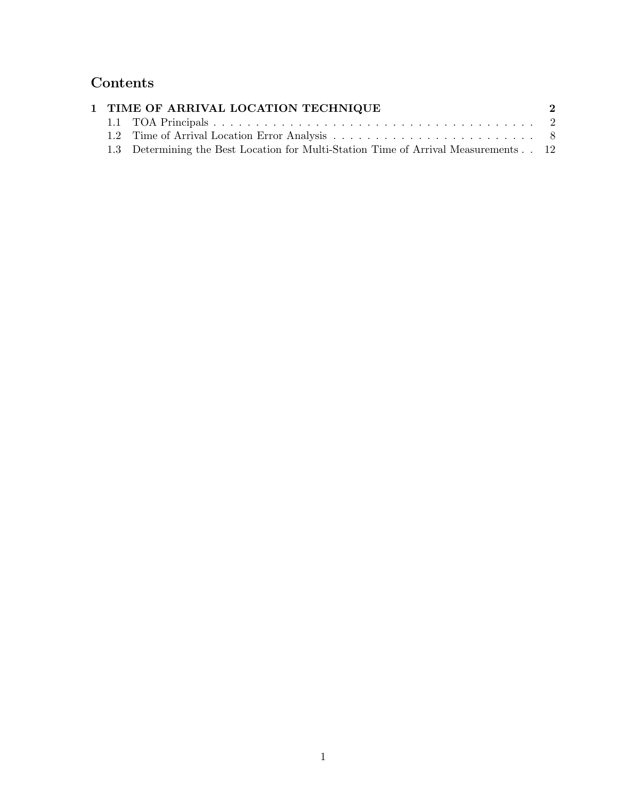# Contents

| 1 TIME OF ARRIVAL LOCATION TECHNIQUE |                                                                                     |  |  |  |
|--------------------------------------|-------------------------------------------------------------------------------------|--|--|--|
|                                      |                                                                                     |  |  |  |
|                                      |                                                                                     |  |  |  |
|                                      | 1.3 Determining the Best Location for Multi-Station Time of Arrival Measurements 12 |  |  |  |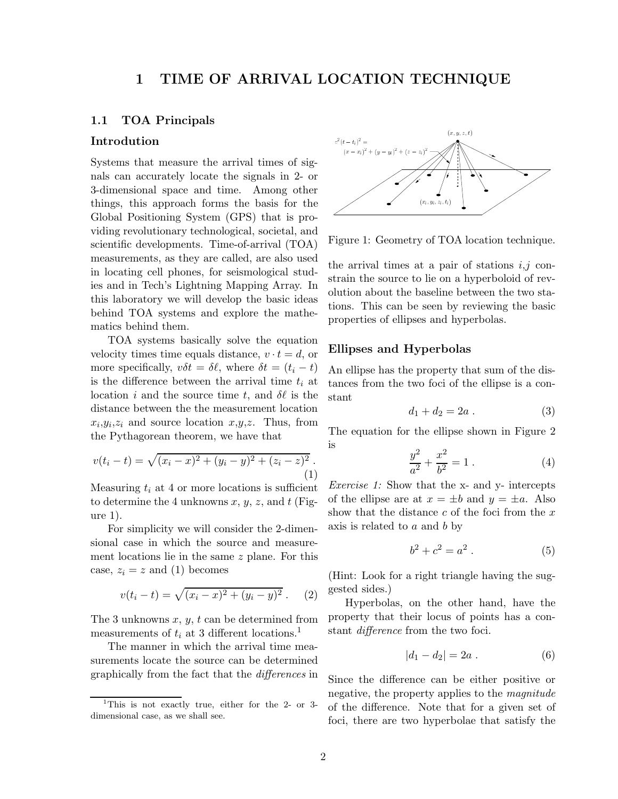# 1 TIME OF ARRIVAL LOCATION TECHNIQUE

## 1.1 TOA Principals

## Introdution

Systems that measure the arrival times of signals can accurately locate the signals in 2- or 3-dimensional space and time. Among other things, this approach forms the basis for the Global Positioning System (GPS) that is providing revolutionary technological, societal, and scientific developments. Time-of-arrival (TOA) measurements, as they are called, are also used in locating cell phones, for seismological studies and in Tech's Lightning Mapping Array. In this laboratory we will develop the basic ideas behind TOA systems and explore the mathematics behind them.

TOA systems basically solve the equation velocity times time equals distance,  $v \cdot t = d$ , or more specifically,  $v\delta t = \delta \ell$ , where  $\delta t = (t_i - t)$ is the difference between the arrival time  $t_i$  at location i and the source time t, and  $\delta\ell$  is the distance between the the measurement location  $x_i, y_i, z_i$  and source location  $x, y, z$ . Thus, from the Pythagorean theorem, we have that

$$
v(t_i - t) = \sqrt{(x_i - x)^2 + (y_i - y)^2 + (z_i - z)^2}.
$$
\n(1)

Measuring  $t_i$  at 4 or more locations is sufficient to determine the 4 unknowns  $x, y, z$ , and t (Figure 1).

For simplicity we will consider the 2-dimensional case in which the source and measurement locations lie in the same z plane. For this case,  $z_i = z$  and (1) becomes

$$
v(t_i - t) = \sqrt{(x_i - x)^2 + (y_i - y)^2} . \tag{2}
$$

The 3 unknowns  $x, y, t$  can be determined from measurements of  $t_i$  at 3 different locations.<sup>1</sup>

The manner in which the arrival time measurements locate the source can be determined graphically from the fact that the differences in



Figure 1: Geometry of TOA location technique.

the arrival times at a pair of stations  $i, j$  constrain the source to lie on a hyperboloid of revolution about the baseline between the two stations. This can be seen by reviewing the basic properties of ellipses and hyperbolas.

## Ellipses and Hyperbolas

An ellipse has the property that sum of the distances from the two foci of the ellipse is a constant

$$
d_1 + d_2 = 2a . \t\t(3)
$$

The equation for the ellipse shown in Figure 2 is

$$
\frac{y^2}{a^2} + \frac{x^2}{b^2} = 1.
$$
 (4)

Exercise 1: Show that the x- and y- intercepts of the ellipse are at  $x = \pm b$  and  $y = \pm a$ . Also show that the distance  $c$  of the foci from the  $x$ axis is related to  $a$  and  $b$  by

$$
b^2 + c^2 = a^2 \,. \tag{5}
$$

(Hint: Look for a right triangle having the suggested sides.)

Hyperbolas, on the other hand, have the property that their locus of points has a constant difference from the two foci.

$$
|d_1 - d_2| = 2a . \t\t(6)
$$

Since the difference can be either positive or negative, the property applies to the magnitude of the difference. Note that for a given set of foci, there are two hyperbolae that satisfy the

<sup>&</sup>lt;sup>1</sup>This is not exactly true, either for the 2- or 3dimensional case, as we shall see.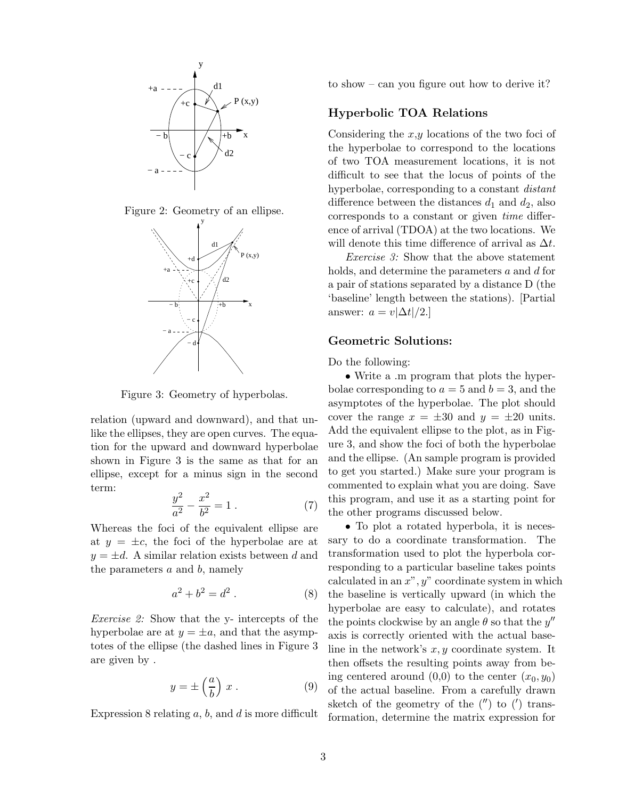





Figure 3: Geometry of hyperbolas.

relation (upward and downward), and that unlike the ellipses, they are open curves. The equation for the upward and downward hyperbolae shown in Figure 3 is the same as that for an ellipse, except for a minus sign in the second term:

$$
\frac{y^2}{a^2} - \frac{x^2}{b^2} = 1.
$$
 (7)

Whereas the foci of the equivalent ellipse are at  $y = \pm c$ , the foci of the hyperbolae are at  $y = \pm d$ . A similar relation exists between d and the parameters  $a$  and  $b$ , namely

$$
a^2 + b^2 = d^2. \t\t(8)
$$

Exercise 2: Show that the y- intercepts of the hyperbolae are at  $y = \pm a$ , and that the asymptotes of the ellipse (the dashed lines in Figure 3 are given by .

$$
y = \pm \left(\frac{a}{b}\right) x . \tag{9}
$$

Expression 8 relating  $a, b$ , and  $d$  is more difficult

to show – can you figure out how to derive it?

## Hyperbolic TOA Relations

Considering the  $x,y$  locations of the two foci of the hyperbolae to correspond to the locations of two TOA measurement locations, it is not difficult to see that the locus of points of the hyperbolae, corresponding to a constant distant difference between the distances  $d_1$  and  $d_2$ , also corresponds to a constant or given time difference of arrival (TDOA) at the two locations. We will denote this time difference of arrival as  $\Delta t$ .

Exercise 3: Show that the above statement holds, and determine the parameters a and d for a pair of stations separated by a distance D (the 'baseline' length between the stations). [Partial answer:  $a = v|\Delta t|/2.$ 

## Geometric Solutions:

Do the following:

• Write a .m program that plots the hyperbolae corresponding to  $a = 5$  and  $b = 3$ , and the asymptotes of the hyperbolae. The plot should cover the range  $x = \pm 30$  and  $y = \pm 20$  units. Add the equivalent ellipse to the plot, as in Figure 3, and show the foci of both the hyperbolae and the ellipse. (An sample program is provided to get you started.) Make sure your program is commented to explain what you are doing. Save this program, and use it as a starting point for the other programs discussed below.

• To plot a rotated hyperbola, it is necessary to do a coordinate transformation. The transformation used to plot the hyperbola corresponding to a particular baseline takes points calculated in an  $x^{\prime\prime}$ ,  $y^{\prime\prime}$  coordinate system in which the baseline is vertically upward (in which the hyperbolae are easy to calculate), and rotates the points clockwise by an angle  $\theta$  so that the  $y''$ axis is correctly oriented with the actual baseline in the network's  $x, y$  coordinate system. It then offsets the resulting points away from being centered around  $(0,0)$  to the center  $(x_0, y_0)$ of the actual baseline. From a carefully drawn sketch of the geometry of the  $('')$  to  $(')$  transformation, determine the matrix expression for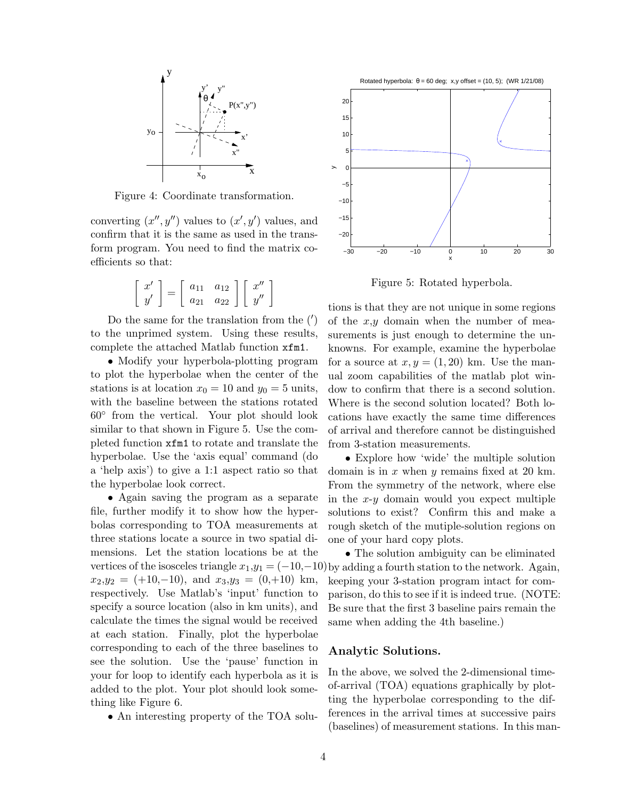

Figure 4: Coordinate transformation.

converting  $(x'', y'')$  values to  $(x', y')$  values, and confirm that it is the same as used in the transform program. You need to find the matrix coefficients so that:

$$
\left[\begin{array}{c}x'\\y'\end{array}\right]=\left[\begin{array}{cc}a_{11}&a_{12}\\a_{21}&a_{22}\end{array}\right]\left[\begin{array}{c}x''\\y''\end{array}\right]
$$

Do the same for the translation from the (′ ) to the unprimed system. Using these results, complete the attached Matlab function xfm1.

• Modify your hyperbola-plotting program to plot the hyperbolae when the center of the stations is at location  $x_0 = 10$  and  $y_0 = 5$  units, with the baseline between the stations rotated 60◦ from the vertical. Your plot should look similar to that shown in Figure 5. Use the completed function xfm1 to rotate and translate the hyperbolae. Use the 'axis equal' command (do a 'help axis') to give a 1:1 aspect ratio so that the hyperbolae look correct.

• Again saving the program as a separate file, further modify it to show how the hyperbolas corresponding to TOA measurements at three stations locate a source in two spatial dimensions. Let the station locations be at the  $x_2,y_2 = (+10,-10)$ , and  $x_3,y_3 = (0,+10)$  km, respectively. Use Matlab's 'input' function to specify a source location (also in km units), and calculate the times the signal would be received at each station. Finally, plot the hyperbolae corresponding to each of the three baselines to see the solution. Use the 'pause' function in your for loop to identify each hyperbola as it is added to the plot. Your plot should look something like Figure 6.

• An interesting property of the TOA solu-



Figure 5: Rotated hyperbola.

tions is that they are not unique in some regions of the  $x,y$  domain when the number of measurements is just enough to determine the unknowns. For example, examine the hyperbolae for a source at  $x, y = (1, 20)$  km. Use the manual zoom capabilities of the matlab plot window to confirm that there is a second solution. Where is the second solution located? Both locations have exactly the same time differences of arrival and therefore cannot be distinguished from 3-station measurements.

• Explore how 'wide' the multiple solution domain is in  $x$  when  $y$  remains fixed at 20 km. From the symmetry of the network, where else in the  $x-y$  domain would you expect multiple solutions to exist? Confirm this and make a rough sketch of the mutiple-solution regions on one of your hard copy plots.

vertices of the isosceles triangle  $x_1, y_1 = (-10, -10)$  by adding a fourth station to the network. Again, • The solution ambiguity can be eliminated keeping your 3-station program intact for comparison, do this to see if it is indeed true. (NOTE: Be sure that the first 3 baseline pairs remain the same when adding the 4th baseline.)

## Analytic Solutions.

In the above, we solved the 2-dimensional timeof-arrival (TOA) equations graphically by plotting the hyperbolae corresponding to the differences in the arrival times at successive pairs (baselines) of measurement stations. In this man-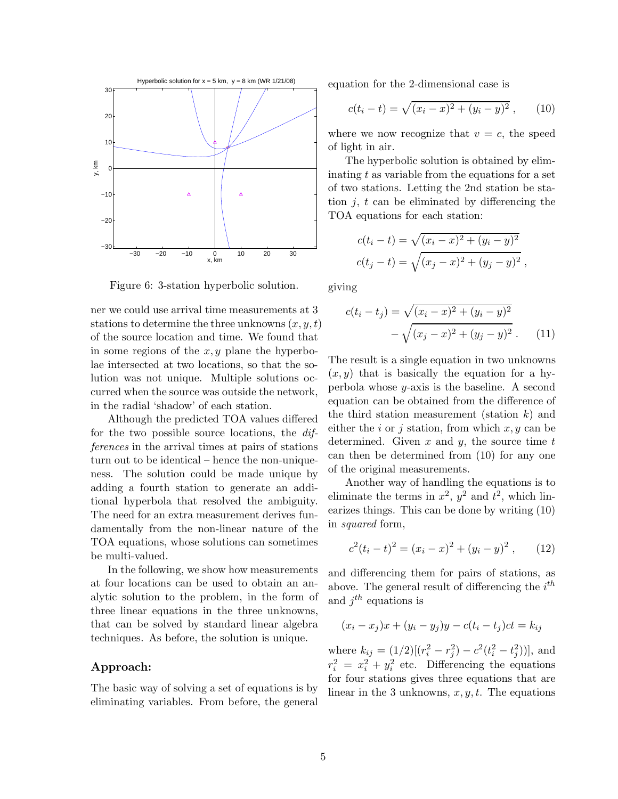

Figure 6: 3-station hyperbolic solution.

ner we could use arrival time measurements at 3 stations to determine the three unknowns  $(x, y, t)$ of the source location and time. We found that in some regions of the  $x, y$  plane the hyperbolae intersected at two locations, so that the solution was not unique. Multiple solutions occurred when the source was outside the network, in the radial 'shadow' of each station.

Although the predicted TOA values differed for the two possible source locations, the differences in the arrival times at pairs of stations turn out to be identical – hence the non-uniqueness. The solution could be made unique by adding a fourth station to generate an additional hyperbola that resolved the ambiguity. The need for an extra measurement derives fundamentally from the non-linear nature of the TOA equations, whose solutions can sometimes be multi-valued.

In the following, we show how measurements at four locations can be used to obtain an analytic solution to the problem, in the form of three linear equations in the three unknowns, that can be solved by standard linear algebra techniques. As before, the solution is unique.

## Approach:

The basic way of solving a set of equations is by eliminating variables. From before, the general equation for the 2-dimensional case is

$$
c(t_i - t) = \sqrt{(x_i - x)^2 + (y_i - y)^2}, \qquad (10)
$$

where we now recognize that  $v = c$ , the speed of light in air.

The hyperbolic solution is obtained by eliminating  $t$  as variable from the equations for a set of two stations. Letting the 2nd station be station  $j, t$  can be eliminated by differencing the TOA equations for each station:

$$
c(t_i - t) = \sqrt{(x_i - x)^2 + (y_i - y)^2}
$$

$$
c(t_j - t) = \sqrt{(x_j - x)^2 + (y_j - y)^2},
$$

giving

$$
c(t_i - t_j) = \sqrt{(x_i - x)^2 + (y_i - y)^2}
$$

$$
- \sqrt{(x_j - x)^2 + (y_j - y)^2}.
$$
 (11)

The result is a single equation in two unknowns  $(x, y)$  that is basically the equation for a hyperbola whose y-axis is the baseline. A second equation can be obtained from the difference of the third station measurement (station  $k$ ) and either the i or j station, from which  $x, y$  can be determined. Given  $x$  and  $y$ , the source time  $t$ can then be determined from (10) for any one of the original measurements.

Another way of handling the equations is to eliminate the terms in  $x^2$ ,  $y^2$  and  $t^2$ , which linearizes things. This can be done by writing (10) in squared form,

$$
c2(ti - t)2 = (xi - x)2 + (yi - y)2,
$$
 (12)

and differencing them for pairs of stations, as above. The general result of differencing the  $i^{th}$ and  $j^{th}$  equations is

$$
(x_i - x_j)x + (y_i - y_j)y - c(t_i - t_j)ct = k_{ij}
$$

where  $k_{ij} = (1/2)[(r_i^2 - r_j^2) - c^2(t_i^2 - t_j^2))]$ , and  $r_i^2 = x_i^2 + y_i^2$  etc. Differencing the equations for four stations gives three equations that are linear in the 3 unknowns,  $x, y, t$ . The equations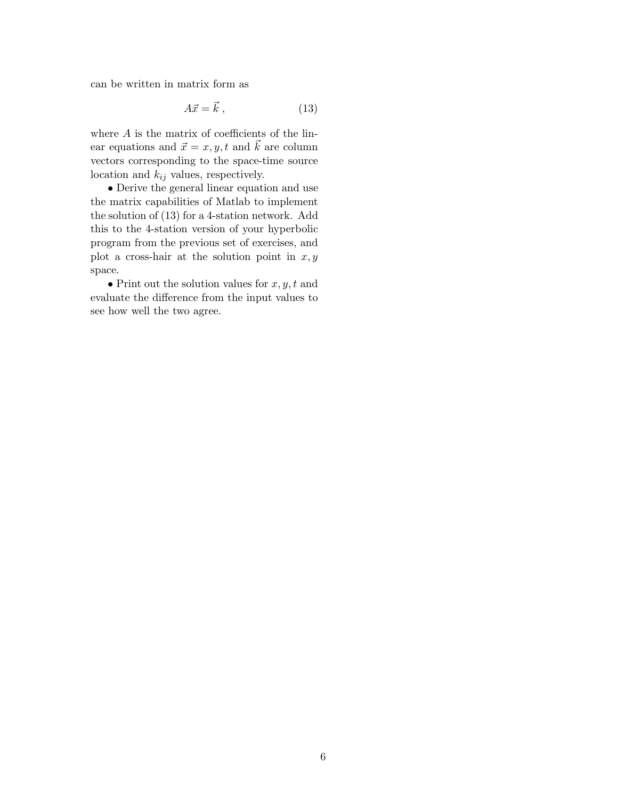can be written in matrix form as

$$
A\vec{x} = \vec{k} \tag{13}
$$

where  $A$  is the matrix of coefficients of the linear equations and  $\vec{x} = x, y, t$  and  $\vec{k}$  are column vectors corresponding to the space-time source location and  $k_{ij}$  values, respectively.

• Derive the general linear equation and use the matrix capabilities of Matlab to implement the solution of (13) for a 4-station network. Add this to the 4-station version of your hyperbolic program from the previous set of exercises, and plot a cross-hair at the solution point in  $x, y$ space.

• Print out the solution values for  $x, y, t$  and evaluate the difference from the input values to see how well the two agree.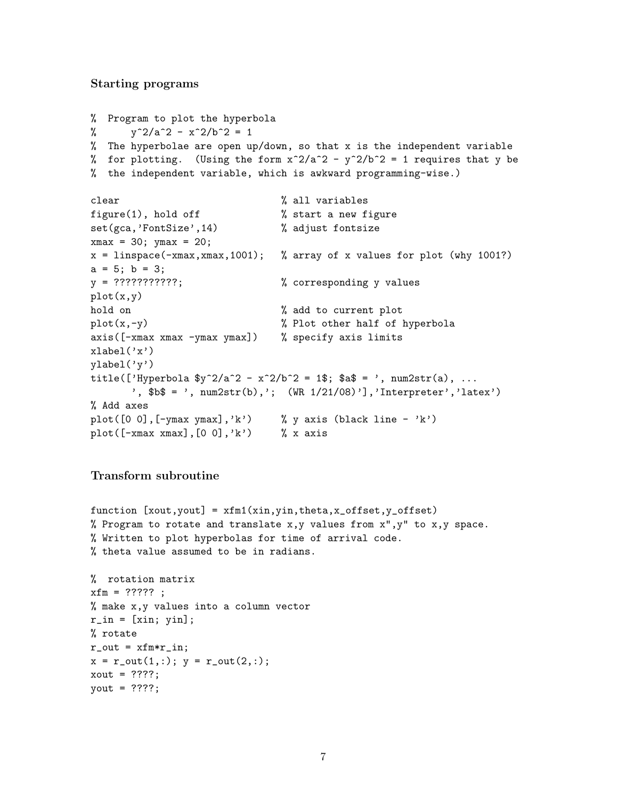## Starting programs

```
% Program to plot the hyperbola
% y^2/a^2 - x^2/b^2 = 1% The hyperbolae are open up/down, so that x is the independent variable
% for plotting. (Using the form x^2/a^2 - y^2/b^2 = 1 requires that y be
% the independent variable, which is awkward programming-wise.)
clear % all variables
figure(1), hold off \% start a new figure
set(gca,'FontSize',14) % adjust fontsize
xmax = 30; ymax = 20;
x = linspace(-xmax, xmax, 1001); % array of x values for plot (why 1001?)
a = 5; b = 3;
y = ?????????????; % corresponding y valuesplot(x,y)
hold on \% add to current plot
plot(x,-y) % Plot other half of hyperbola
axis([-xmax xmax -ymax ymax]) % specify axis limits
xlabel('x')vlabel('v')title(['Hyperbola y^2/a^2 - x^2/b^2 = 1$; $a$ = ', num2str(a), ...
      ',$b$ = ', num2str(b),'; (WR 1/21/08)'],'Interpreter','latex')
% Add axes
plot([0 0],[-\text{ymax } \text{ymax}],'k') % y axis (black line - 'k')
plot([-xmax xmax],[0 0],'k') % x axis
```
## Transform subroutine

```
function [xout,yout] = xfm1(xin,yin,theta,x_offset,y_offset)
% Program to rotate and translate x,y values from x'', y'' to x,y space.
% Written to plot hyperbolas for time of arrival code.
% theta value assumed to be in radians.
% rotation matrix
xfm = ?????;
% make x,y values into a column vector
r_in = [xin; yin];% rotate
r_out = xfm*r_in;x = r_out(1,:); y = r_out(2,:);xout = ??? ?
yout = ????;
```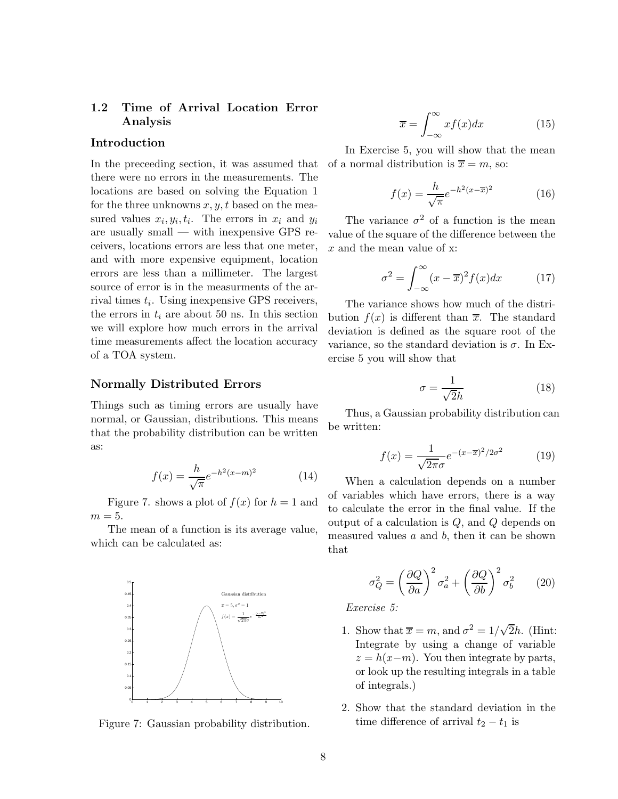# 1.2 Time of Arrival Location Error Analysis

## Introduction

In the preceeding section, it was assumed that there were no errors in the measurements. The locations are based on solving the Equation 1 for the three unknowns  $x, y, t$  based on the measured values  $x_i, y_i, t_i$ . The errors in  $x_i$  and  $y_i$ are usually small — with inexpensive GPS receivers, locations errors are less that one meter, and with more expensive equipment, location errors are less than a millimeter. The largest source of error is in the measurments of the arrival times  $t_i$ . Using inexpensive GPS receivers, the errors in  $t_i$  are about 50 ns. In this section we will explore how much errors in the arrival time measurements affect the location accuracy of a TOA system.

### Normally Distributed Errors

Things such as timing errors are usually have normal, or Gaussian, distributions. This means that the probability distribution can be written as:

$$
f(x) = \frac{h}{\sqrt{\pi}} e^{-h^2(x-m)^2}
$$
 (14)

Figure 7. shows a plot of  $f(x)$  for  $h = 1$  and  $m=5.$ 

The mean of a function is its average value, which can be calculated as:



Figure 7: Gaussian probability distribution.

$$
\overline{x} = \int_{-\infty}^{\infty} x f(x) dx \tag{15}
$$

In Exercise 5, you will show that the mean of a normal distribution is  $\overline{x} = m$ , so:

$$
f(x) = \frac{h}{\sqrt{\pi}} e^{-h^2(x - \overline{x})^2}
$$
 (16)

The variance  $\sigma^2$  of a function is the mean value of the square of the difference between the x and the mean value of x:

$$
\sigma^2 = \int_{-\infty}^{\infty} (x - \overline{x})^2 f(x) dx \qquad (17)
$$

The variance shows how much of the distribution  $f(x)$  is different than  $\overline{x}$ . The standard deviation is defined as the square root of the variance, so the standard deviation is  $\sigma$ . In Exercise 5 you will show that

$$
\sigma = \frac{1}{\sqrt{2}h} \tag{18}
$$

Thus, a Gaussian probability distribution can be written:

$$
f(x) = \frac{1}{\sqrt{2\pi}\sigma}e^{-(x-\overline{x})^2/2\sigma^2}
$$
 (19)

When a calculation depends on a number of variables which have errors, there is a way to calculate the error in the final value. If the output of a calculation is Q, and Q depends on measured values  $a$  and  $b$ , then it can be shown that

$$
\sigma_Q^2 = \left(\frac{\partial Q}{\partial a}\right)^2 \sigma_a^2 + \left(\frac{\partial Q}{\partial b}\right)^2 \sigma_b^2 \qquad (20)
$$

Exercise 5:

- 1. Show that  $\overline{x} = m$ , and  $\sigma^2 = 1/\sqrt{2}h$ . (Hint: Integrate by using a change of variable  $z = h(x-m)$ . You then integrate by parts, or look up the resulting integrals in a table of integrals.)
- 2. Show that the standard deviation in the time difference of arrival  $t_2 - t_1$  is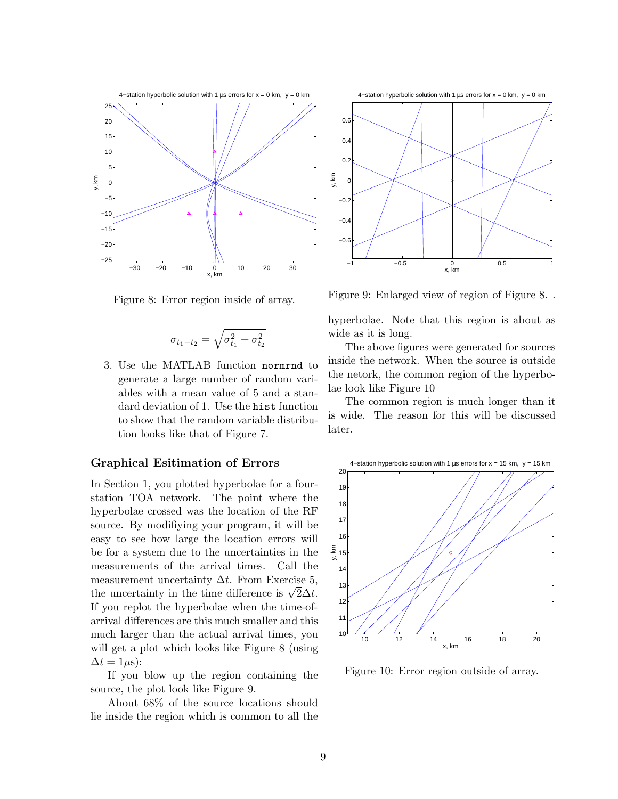

Figure 8: Error region inside of array.

$$
\sigma_{t_1-t_2} = \sqrt{\sigma_{t_1}^2 + \sigma_{t_2}^2}
$$

3. Use the MATLAB function normrnd to generate a large number of random variables with a mean value of 5 and a standard deviation of 1. Use the hist function to show that the random variable distribution looks like that of Figure 7.

## Graphical Esitimation of Errors

In Section 1, you plotted hyperbolae for a fourstation TOA network. The point where the hyperbolae crossed was the location of the RF source. By modifiying your program, it will be easy to see how large the location errors will be for a system due to the uncertainties in the measurements of the arrival times. Call the measurement uncertainty  $\Delta t$ . From Exercise 5, the uncertainty in the time difference is  $\sqrt{2}\Delta t$ . If you replot the hyperbolae when the time-ofarrival differences are this much smaller and this much larger than the actual arrival times, you will get a plot which looks like Figure 8 (using  $\Delta t = 1 \mu s$ :

If you blow up the region containing the source, the plot look like Figure 9.

About 68% of the source locations should lie inside the region which is common to all the



Figure 9: Enlarged view of region of Figure 8. .

hyperbolae. Note that this region is about as wide as it is long.

The above figures were generated for sources inside the network. When the source is outside the netork, the common region of the hyperbolae look like Figure 10

The common region is much longer than it is wide. The reason for this will be discussed later.



Figure 10: Error region outside of array.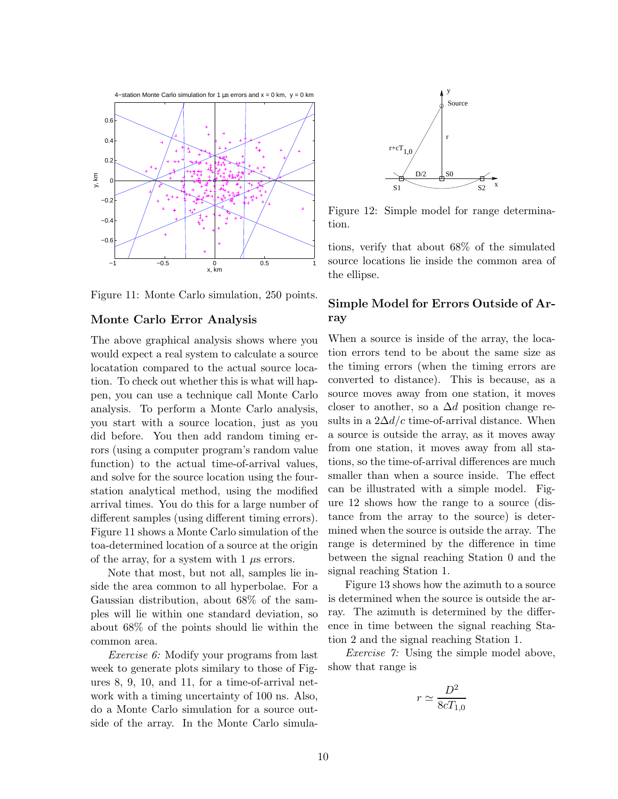

Figure 11: Monte Carlo simulation, 250 points.

#### Monte Carlo Error Analysis

The above graphical analysis shows where you would expect a real system to calculate a source locatation compared to the actual source location. To check out whether this is what will happen, you can use a technique call Monte Carlo analysis. To perform a Monte Carlo analysis, you start with a source location, just as you did before. You then add random timing errors (using a computer program's random value function) to the actual time-of-arrival values, and solve for the source location using the fourstation analytical method, using the modified arrival times. You do this for a large number of different samples (using different timing errors). Figure 11 shows a Monte Carlo simulation of the toa-determined location of a source at the origin of the array, for a system with  $1 \mu s$  errors.

Note that most, but not all, samples lie inside the area common to all hyperbolae. For a Gaussian distribution, about 68% of the samples will lie within one standard deviation, so about 68% of the points should lie within the common area.

Exercise 6: Modify your programs from last week to generate plots similary to those of Figures 8, 9, 10, and 11, for a time-of-arrival network with a timing uncertainty of 100 ns. Also, do a Monte Carlo simulation for a source outside of the array. In the Monte Carlo simula-



Figure 12: Simple model for range determination.

tions, verify that about 68% of the simulated source locations lie inside the common area of the ellipse.

## Simple Model for Errors Outside of Array

When a source is inside of the array, the location errors tend to be about the same size as the timing errors (when the timing errors are converted to distance). This is because, as a source moves away from one station, it moves closer to another, so a  $\Delta d$  position change results in a  $2\Delta d/c$  time-of-arrival distance. When a source is outside the array, as it moves away from one station, it moves away from all stations, so the time-of-arrival differences are much smaller than when a source inside. The effect can be illustrated with a simple model. Figure 12 shows how the range to a source (distance from the array to the source) is determined when the source is outside the array. The range is determined by the difference in time between the signal reaching Station 0 and the signal reaching Station 1.

Figure 13 shows how the azimuth to a source is determined when the source is outside the array. The azimuth is determined by the difference in time between the signal reaching Station 2 and the signal reaching Station 1.

Exercise 7: Using the simple model above, show that range is

$$
r \simeq \frac{D^2}{8cT_{1,0}}
$$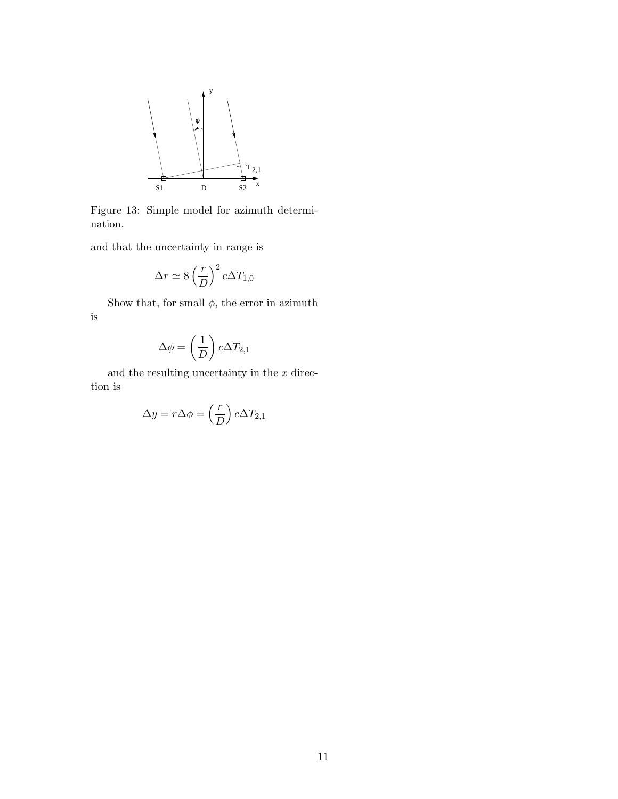

Figure 13: Simple model for azimuth determination.

and that the uncertainty in range is

$$
\Delta r \simeq 8 \left(\frac{r}{D}\right)^2 c \Delta T_{1,0}
$$

Show that, for small  $\phi,$  the error in azimuth is

$$
\Delta \phi = \left(\frac{1}{D}\right) c \Delta T_{2,1}
$$

and the resulting uncertainty in the  $x$  direction is

$$
\Delta y = r \Delta \phi = \left(\frac{r}{D}\right) c \Delta T_{2,1}
$$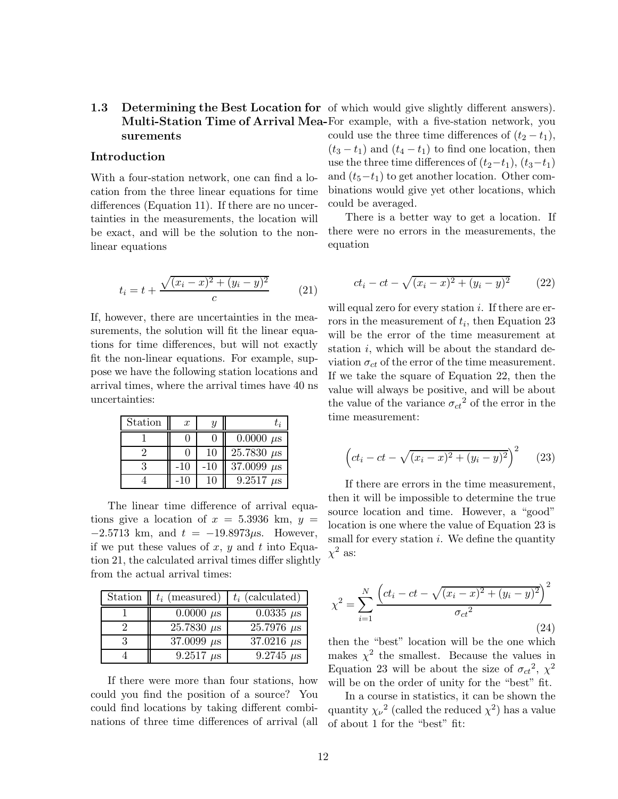# 1.3 Determining the Best Location for of which would give slightly different answers). Multi-Station Time of Arrival Mea-For example, with a five-station network, you surements

## Introduction

With a four-station network, one can find a location from the three linear equations for time differences (Equation 11). If there are no uncertainties in the measurements, the location will be exact, and will be the solution to the nonlinear equations

$$
t_i = t + \frac{\sqrt{(x_i - x)^2 + (y_i - y)^2}}{c}
$$
 (21)

If, however, there are uncertainties in the measurements, the solution will fit the linear equations for time differences, but will not exactly fit the non-linear equations. For example, suppose we have the following station locations and arrival times, where the arrival times have 40 ns uncertainties:

| Station | $\boldsymbol{x}$ | $\boldsymbol{\mathit{u}}$ | t;                |
|---------|------------------|---------------------------|-------------------|
|         |                  |                           | $0.0000 \mu s$    |
|         |                  | 10                        | $25.7830 \ \mu s$ |
|         | -10              | -10                       | 37.0099 $\mu$ s   |
|         | -10              | 10                        | 9.2517<br>$\mu$ s |

The linear time difference of arrival equations give a location of  $x = 5.3936$  km,  $y =$  $-2.5713$  km, and  $t = -19.8973\mu s$ . However, if we put these values of x, y and t into Equation 21, the calculated arrival times differ slightly from the actual arrival times:

| Station | $t_i$ (measured)  | $t_i$ (calculated) |
|---------|-------------------|--------------------|
|         | $0.0000 \ \mu s$  | $0.0335 \ \mu s$   |
|         | $25.7830 \ \mu s$ | $25.7976 \ \mu s$  |
|         | 37.0099 $\mu$ s   | 37.0216 $\mu$ s    |
|         | $9.2517 \ \mu s$  | $9.2745 \ \mu s$   |

If there were more than four stations, how could you find the position of a source? You could find locations by taking different combinations of three time differences of arrival (all could use the three time differences of  $(t_2 - t_1)$ ,  $(t_3 - t_1)$  and  $(t_4 - t_1)$  to find one location, then use the three time differences of  $(t_2-t_1)$ ,  $(t_3-t_1)$ and  $(t_5-t_1)$  to get another location. Other combinations would give yet other locations, which could be averaged.

There is a better way to get a location. If there were no errors in the measurements, the equation

$$
ct_i - ct - \sqrt{(x_i - x)^2 + (y_i - y)^2}
$$
 (22)

will equal zero for every station  $i$ . If there are errors in the measurement of  $t_i$ , then Equation 23 will be the error of the time measurement at station  $i$ , which will be about the standard deviation  $\sigma_{ct}$  of the error of the time measurement. If we take the square of Equation 22, then the value will always be positive, and will be about the value of the variance  $\sigma_{ct}^{2}$  of the error in the time measurement:

$$
\left(ct_i - ct - \sqrt{(x_i - x)^2 + (y_i - y)^2}\right)^2 \tag{23}
$$

If there are errors in the time measurement, then it will be impossible to determine the true source location and time. However, a "good" location is one where the value of Equation 23 is small for every station  $i$ . We define the quantity  $\chi^2$  as:

$$
\chi^{2} = \sum_{i=1}^{N} \frac{\left(ct_{i} - ct - \sqrt{(x_{i} - x)^{2} + (y_{i} - y)^{2}}\right)^{2}}{\sigma_{ct}^{2}}
$$
\n(24)

then the "best" location will be the one which makes  $\chi^2$  the smallest. Because the values in Equation 23 will be about the size of  $\sigma_{ct}^2$ ,  $\chi^2$ will be on the order of unity for the "best" fit.

In a course in statistics, it can be shown the quantity  $\chi_{\nu}^2$  (called the reduced  $\chi^2$ ) has a value of about 1 for the "best" fit: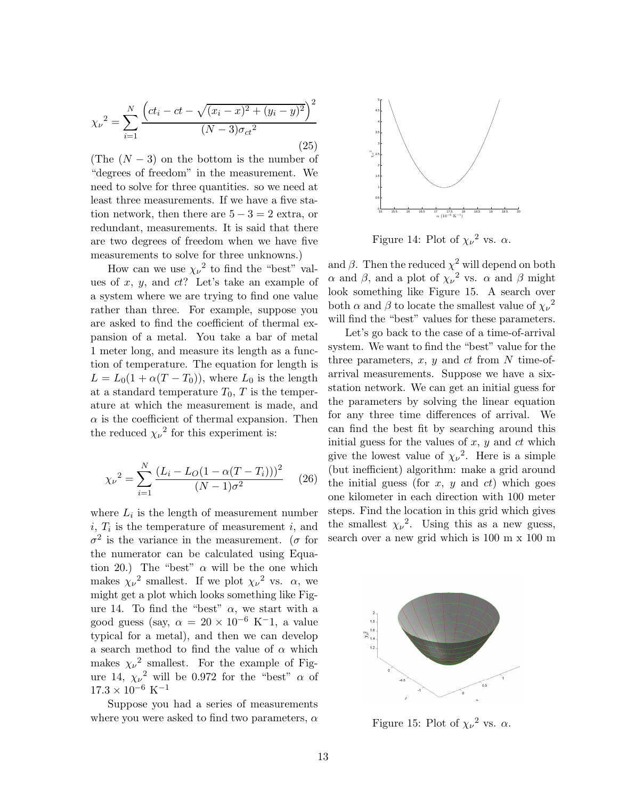$$
\chi_{\nu}^{2} = \sum_{i=1}^{N} \frac{\left(ct_{i} - ct - \sqrt{(x_{i} - x)^{2} + (y_{i} - y)^{2}}\right)^{2}}{(N - 3)\sigma_{ct}^{2}}
$$
\n(25)

(The  $(N-3)$ ) on the bottom is the number of "degrees of freedom" in the measurement. We need to solve for three quantities. so we need at least three measurements. If we have a five station network, then there are  $5 - 3 = 2$  extra, or redundant, measurements. It is said that there are two degrees of freedom when we have five measurements to solve for three unknowns.)

How can we use  $\chi_{\nu}^2$  to find the "best" values of  $x, y$ , and  $ct$ ? Let's take an example of a system where we are trying to find one value rather than three. For example, suppose you are asked to find the coefficient of thermal expansion of a metal. You take a bar of metal 1 meter long, and measure its length as a function of temperature. The equation for length is  $L = L_0(1 + \alpha(T - T_0))$ , where  $L_0$  is the length at a standard temperature  $T_0$ ,  $T$  is the temperature at which the measurement is made, and  $\alpha$  is the coefficient of thermal expansion. Then the reduced  $\chi_{\nu}^2$  for this experiment is:

$$
\chi_{\nu}^{2} = \sum_{i=1}^{N} \frac{(L_{i} - L_{O}(1 - \alpha(T - T_{i})))^{2}}{(N - 1)\sigma^{2}} \qquad (26)
$$

where  $L_i$  is the length of measurement number  $i, T_i$  is the temperature of measurement  $i$ , and  $\sigma^2$  is the variance in the measurement. ( $\sigma$  for the numerator can be calculated using Equation 20.) The "best"  $\alpha$  will be the one which makes  $\chi_{\nu}^2$  smallest. If we plot  $\chi_{\nu}^2$  vs.  $\alpha$ , we might get a plot which looks something like Figure 14. To find the "best"  $\alpha$ , we start with a good guess (say,  $\alpha = 20 \times 10^{-6}$  K<sup>-</sup>1, a value typical for a metal), and then we can develop a search method to find the value of  $\alpha$  which makes  $\chi_{\nu}^2$  smallest. For the example of Figure 14,  $\chi_{\nu}^2$  will be 0.972 for the "best"  $\alpha$  of  $17.3\times10^{-6}$   $\rm K^{-1}$ 

Suppose you had a series of measurements where you were asked to find two parameters,  $\alpha$ 



Figure 14: Plot of  $\chi_{\nu}^2$  vs.  $\alpha$ .

and  $\beta$ . Then the reduced  $\chi^2$  will depend on both  $\alpha$  and  $\beta$ , and a plot of  $\chi_{\nu}^2$  vs.  $\alpha$  and  $\beta$  might look something like Figure 15. A search over both  $\alpha$  and  $\beta$  to locate the smallest value of  $\chi_{\nu}^2$ will find the "best" values for these parameters.

Let's go back to the case of a time-of-arrival system. We want to find the "best" value for the three parameters,  $x, y$  and  $ct$  from  $N$  time-ofarrival measurements. Suppose we have a sixstation network. We can get an initial guess for the parameters by solving the linear equation for any three time differences of arrival. We can find the best fit by searching around this initial guess for the values of  $x, y$  and  $ct$  which give the lowest value of  $\chi_{\nu}^2$ . Here is a simple (but inefficient) algorithm: make a grid around the initial guess (for  $x, y$  and  $ct$ ) which goes one kilometer in each direction with 100 meter steps. Find the location in this grid which gives the smallest  $\chi_{\nu}^2$ . Using this as a new guess, search over a new grid which is 100 m x 100 m



Figure 15: Plot of  $\chi_{\nu}^2$  vs.  $\alpha$ .